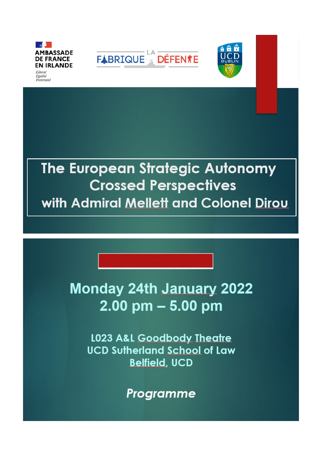

Fraternité





# The European Strategic Autonomy **Crossed Perspectives** with Admiral Mellett and Colonel Dirou

## **Monday 24th January 2022**  $2.00$  pm  $-5.00$  pm

**L023 A&L Goodbody Theatre UCD Sutherland School of Law Belfield, UCD** 

Programme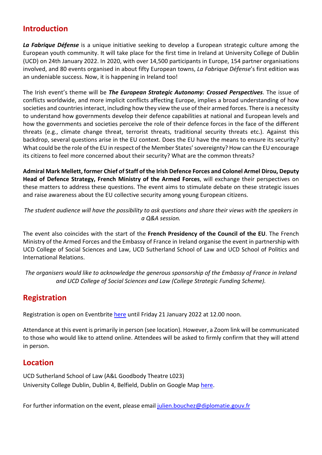## **Introduction**

*La Fabrique Défense* is a unique initiative seeking to develop a European strategic culture among the European youth community. It will take place for the first time in Ireland at University College of Dublin (UCD) on 24th January 2022. In 2020, with over 14,500 participants in Europe, 154 partner organisations involved, and 80 events organised in about fifty European towns, *La Fabrique Défense*'s first edition was an undeniable success. Now, it is happening in Ireland too!

The Irish event's theme will be *The European Strategic Autonomy: Crossed Perspectives*. The issue of conflicts worldwide, and more implicit conflicts affecting Europe, implies a broad understanding of how societies and countries interact, including how they view the use of their armed forces. There is a necessity to understand how governments develop their defence capabilities at national and European levels and how the governments and societies perceive the role of their defence forces in the face of the different threats (e.g., climate change threat, terrorist threats, traditional security threats etc.). Against this backdrop, several questions arise in the EU context. Does the EU have the means to ensure its security? What could be the role of the EU in respect of the Member States' sovereignty? How can the EU encourage its citizens to feel more concerned about their security? What are the common threats?

**Admiral Mark Mellett, former Chief of Staff of the Irish Defence Forces and Colonel Armel Dirou, Deputy Head of Defence Strategy, French Ministry of the Armed Forces**, will exchange their perspectives on these matters to address these questions. The event aims to stimulate debate on these strategic issues and raise awareness about the EU collective security among young European citizens.

*The student audience will have the possibility to ask questions and share their views with the speakers in a Q&A session.*

The event also coincides with the start of the **French Presidency of the Council of the EU**. The French Ministry of the Armed Forces and the Embassy of France in Ireland organise the event in partnership with UCD College of Social Sciences and Law, UCD Sutherland School of Law and UCD School of Politics and International Relations.

*The organisers would like to acknowledge the generous sponsorship of the Embassy of France in Ireland and UCD College of Social Sciences and Law (College Strategic Funding Scheme).*

## **Registration**

Registration is open on Eventbrite [here](https://www.eventbrite.ie/e/the-european-strategic-autonomy-crossed-perspectives-tickets-226817395937) until Friday 21 January 2022 at 12.00 noon.

Attendance at this event is primarily in person (see location). However, a Zoom link will be communicated to those who would like to attend online. Attendees will be asked to firmly confirm that they will attend in person.

## **Location**

UCD Sutherland School of Law (A&L Goodbody Theatre L023) University College Dublin, Dublin 4, Belfield, Dublin on Google Map [here.](https://www.google.com/maps/place/UCD+Sutherland+School+of+Law/@53.3043599,-6.2209821,17z/data=!3m1!4b1!4m5!3m4!1s0x4867093bc9661949:0xbc03aedc6c48f4e4!8m2!3d53.3043599!4d-6.2187934)

For further information on the event, please emai[l julien.bouchez@diplomatie.gouv.fr](mailto:julien.bouchez@diplomatie.gouv.fr)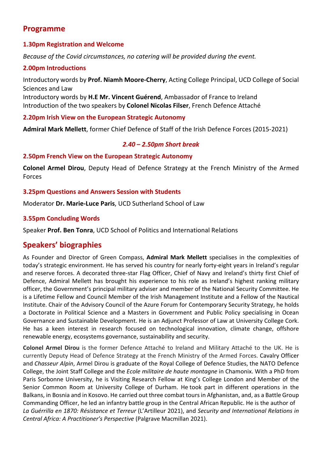## **Programme**

#### **1.30pm Registration and Welcome**

*Because of the Covid circumstances, no catering will be provided during the event.*

#### **2.00pm Introductions**

Introductory words by **Prof. Niamh Moore-Cherry**, Acting College Principal, UCD College of Social Sciences and Law

Introductory words by **H.E Mr. Vincent Guérend**, Ambassador of France to Ireland Introduction of the two speakers by **Colonel Nicolas Filser**, French Defence Attaché

### **2.20pm Irish View on the European Strategic Autonomy**

**Admiral Mark Mellett**, former Chief Defence of Staff of the Irish Defence Forces (2015-2021)

#### *2.40 – 2.50pm Short break*

#### **2.50pm French View on the European Strategic Autonomy**

**Colonel Armel Dirou**, Deputy Head of Defence Strategy at the French Ministry of the Armed Forces

#### **3.25pm Questions and Answers Session with Students**

Moderator **Dr. Marie-Luce Paris**, UCD Sutherland School of Law

### **3.55pm Concluding Words**

Speaker **Prof. Ben Tonra**, UCD School of Politics and International Relations

## **Speakers' biographies**

As Founder and Director of Green Compass, **Admiral Mark Mellett** specialises in the complexities of today's strategic environment. He has served his country for nearly forty-eight years in Ireland's regular and reserve forces. A decorated three-star Flag Officer, Chief of Navy and Ireland's thirty first Chief of Defence, Admiral Mellett has brought his experience to his role as Ireland's highest ranking military officer, the Government's principal military adviser and member of the National Security Committee. He is a Lifetime Fellow and Council Member of the Irish Management Institute and a Fellow of the Nautical Institute. Chair of the Advisory Council of the Azure Forum for Contemporary Security Strategy, he holds a Doctorate in Political Science and a Masters in Government and Public Policy specialising in Ocean Governance and Sustainable Development. He is an Adjunct Professor of Law at University College Cork. He has a keen interest in research focused on technological innovation, climate change, offshore renewable energy, ecosystems governance, sustainability and security.

**Colonel Armel Dirou** is the former Defence Attaché to Ireland and Military Attaché to the UK. He is currently Deputy Head of Defence Strategy at the French Ministry of the Armed Forces. Cavalry Officer and *Chasseur Alpin*, Armel Dirou is graduate of the Royal College of Defence Studies, the NATO Defence College, the Joint Staff College and the *Ecole militaire de haute montagne* in Chamonix. With a PhD from Paris Sorbonne University, he is Visiting Research Fellow at King's College London and Member of the Senior Common Room at University College of Durham. He took part in different operations in the Balkans, in Bosnia and in Kosovo. He carried out three combat tours in Afghanistan, and, as a Battle Group Commanding Officer, he led an infantry battle group in the Central African Republic. He is the author of *La Guérrilla en 1870: Résistance et Terreur* (L'Artilleur 2021), and *Security and International Relations in Central Africa: A Practitioner's Perspective* (Palgrave Macmillan 2021).